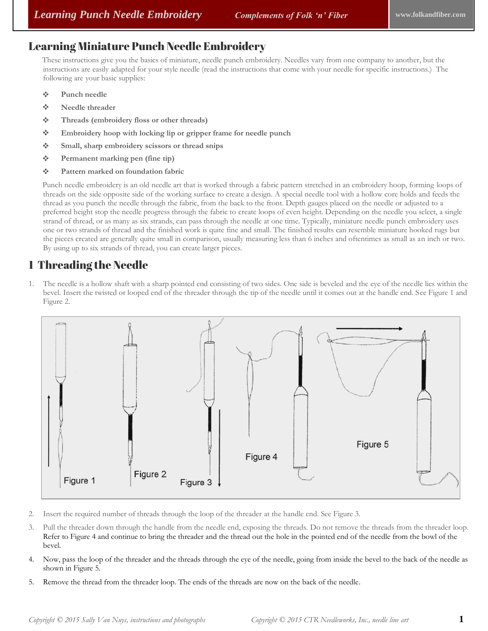### Learning Miniature Punch Needle Embroidery

These instructions give you the basics of miniature, needle punch embroidery. Needles vary from one company to another, but the instructions are easily adapted for your style needle (read the instructions that come with your needle for specific instructions.) The following are your basic supplies:

- **Punch needle**
- **Needle threader**
- **Threads (embroidery floss or other threads)**
- **Embroidery hoop with locking lip or gripper frame for needle punch**
- **Small, sharp embroidery scissors or thread snips**
- **Permanent marking pen (fine tip)**
- **Pattern marked on foundation fabric**

Punch needle embroidery is an old needle art that is worked through a fabric pattern stretched in an embroidery hoop, forming loops of threads on the side opposite side of the working surface to create a design. A special needle tool with a hollow core holds and feeds the thread as you punch the needle through the fabric, from the back to the front. Depth gauges placed on the needle or adjusted to a preferred height stop the needle progress through the fabric to create loops of even height. Depending on the needle you select, a single strand of thread, or as many as six strands, can pass through the needle at one time. Typically, miniature needle punch embroidery uses one or two strands of thread and the finished work is quite fine and small. The finished results can resemble miniature hooked rugs but the pieces created are generally quite small in comparison, usually measuring less than 6 inches and oftentimes as small as an inch or two. By using up to six strands of thread, you can create larger pieces.

### 1 Threading the Needle

1. The needle is a hollow shaft with a sharp pointed end consisting of two sides. One side is beveled and the eye of the needle lies within the bevel. Insert the twisted or looped end of the threader through the tip of the needle until it comes out at the handle end. See Figure 1 and Figure 2.



- 2. Insert the required number of threads through the loop of the threader at the handle end. See Figure 3.
- 3. Pull the threader down through the handle from the needle end, exposing the threads. Do not remove the threads from the threader loop. Refer to Figure 4 and continue to bring the threader and the thread out the hole in the pointed end of the needle from the bowl of the bevel.
- 4. Now, pass the loop of the threader and the threads through the eye of the needle, going from inside the bevel to the back of the needle as shown in Figure 5.
- 5. Remove the thread from the threader loop. The ends of the threads are now on the back of the needle.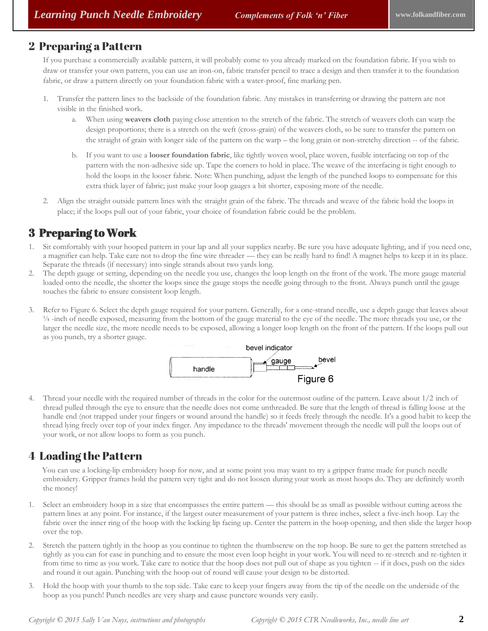### 2 Preparing a Pattern

If you purchase a commercially available pattern, it will probably come to you already marked on the foundation fabric. If you wish to draw or transfer your own pattern, you can use an iron-on, fabric transfer pencil to trace a design and then transfer it to the foundation fabric, or draw a pattern directly on your foundation fabric with a water-proof, fine marking pen.

- 1. Transfer the pattern lines to the backside of the foundation fabric. Any mistakes in transferring or drawing the pattern are not visible in the finished work.
	- a. When using **weavers cloth** paying close attention to the stretch of the fabric. The stretch of weavers cloth can warp the design proportions; there is a stretch on the weft (cross-grain) of the weavers cloth, so be sure to transfer the pattern on the straight of grain with longer side of the pattern on the warp – the long grain or non-stretchy direction -- of the fabric.
	- b. If you want to use a **looser foundation fabric**, like tightly woven wool, place woven, fusible interfacing on top of the pattern with the non-adhesive side up. Tape the corners to hold in place. The weave of the interfacing is tight enough to hold the loops in the looser fabric. Note: When punching, adjust the length of the punched loops to compensate for this extra thick layer of fabric; just make your loop gauges a bit shorter, exposing more of the needle.
- 2. Align the straight outside pattern lines with the straight grain of the fabric. The threads and weave of the fabric hold the loops in place; if the loops pull out of your fabric, your choice of foundation fabric could be the problem.

## 3 Preparing to Work

- 1. Sit comfortably with your hooped pattern in your lap and all your supplies nearby. Be sure you have adequate lighting, and if you need one, a magnifier can help. Take care not to drop the fine wire threader — they can be really hard to find! A magnet helps to keep it in its place. Separate the threads (if necessary) into single strands about two yards long.
- 2. The depth gauge or setting, depending on the needle you use, changes the loop length on the front of the work. The more gauge material loaded onto the needle, the shorter the loops since the gauge stops the needle going through to the front. Always punch until the gauge touches the fabric to ensure consistent loop length.
- 3. Refer to Figure 6. Select the depth gauge required for your pattern. Generally, for a one-strand needle, use a depth gauge that leaves about ¼ -inch of needle exposed, measuring from the bottom of the gauge material to the eye of the needle. The more threads you use, or the larger the needle size, the more needle needs to be exposed, allowing a longer loop length on the front of the pattern. If the loops pull out as you punch, try a shorter gauge.



4. Thread your needle with the required number of threads in the color for the outermost outline of the pattern. Leave about 1/2 inch of thread pulled through the eye to ensure that the needle does not come unthreaded. Be sure that the length of thread is falling loose at the handle end (not trapped under your fingers or wound around the handle) so it feeds freely through the needle. It's a good habit to keep the thread lying freely over top of your index finger. Any impedance to the threads' movement through the needle will pull the loops out of your work, or not allow loops to form as you punch.

## 4 Loading the Pattern

You can use a locking-lip embroidery hoop for now, and at some point you may want to try a gripper frame made for punch needle embroidery. Gripper frames hold the pattern very tight and do not loosen during your work as most hoops do. They are definitely worth the money!

- 1. Select an embroidery hoop in a size that encompasses the entire pattern this should be as small as possible without cutting across the pattern lines at any point. For instance, if the largest outer measurement of your pattern is three inches, select a five-inch hoop. Lay the fabric over the inner ring of the hoop with the locking lip facing up. Center the pattern in the hoop opening, and then slide the larger hoop over the top.
- 2. Stretch the pattern tightly in the hoop as you continue to tighten the thumbscrew on the top hoop. Be sure to get the pattern stretched as tightly as you can for ease in punching and to ensure the most even loop height in your work. You will need to re-stretch and re-tighten it from time to time as you work. Take care to notice that the hoop does not pull out of shape as you tighten -- if it does, push on the sides and round it out again. Punching with the hoop out of round will cause your design to be distorted.
- 3. Hold the hoop with your thumb to the top side. Take care to keep your fingers away from the tip of the needle on the underside of the hoop as you punch! Punch needles are very sharp and cause puncture wounds very easily.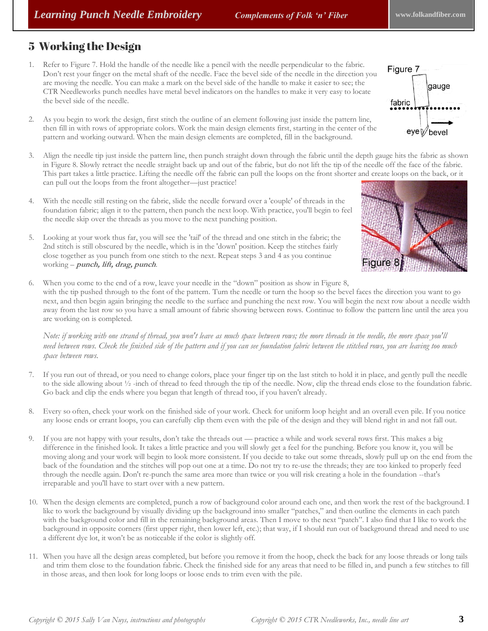# 5 Working the Design

- 1. Refer to Figure 7. Hold the handle of the needle like a pencil with the needle perpendicular to the fabric. Don't rest your finger on the metal shaft of the needle. Face the bevel side of the needle in the direction you are moving the needle. You can make a mark on the bevel side of the handle to make it easier to see; the CTR Needleworks punch needles have metal bevel indicators on the handles to make it very easy to locate the bevel side of the needle.
- 2. As you begin to work the design, first stitch the outline of an element following just inside the pattern line, then fill in with rows of appropriate colors. Work the main design elements first, starting in the center of the pattern and working outward. When the main design elements are completed, fill in the background.
- 3. Align the needle tip just inside the pattern line, then punch straight down through the fabric until the depth gauge hits the fabric as shown in Figure 8. Slowly retract the needle straight back up and out of the fabric, but do not lift the tip of the needle off the face of the fabric. This part takes a little practice. Lifting the needle off the fabric can pull the loops on the front shorter and create loops on the back, or it can pull out the loops from the front altogether—just practice!
- 4. With the needle still resting on the fabric, slide the needle forward over a 'couple' of threads in the foundation fabric; align it to the pattern, then punch the next loop. With practice, you'll begin to feel the needle skip over the threads as you move to the next punching position.
- 5. Looking at your work thus far, you will see the 'tail' of the thread and one stitch in the fabric; the 2nd stitch is still obscured by the needle, which is in the 'down' position. Keep the stitches fairly close together as you punch from one stitch to the next. Repeat steps 3 and 4 as you continue working – **punch, lift, drag, punch**.
- 6. When you come to the end of a row, leave your needle in the "down" position as show in Figure 8, with the tip pushed through to the font of the pattern. Turn the needle or turn the hoop so the bevel faces the direction you want to go next, and then begin again bringing the needle to the surface and punching the next row. You will begin the next row about a needle width away from the last row so you have a small amount of fabric showing between rows. Continue to follow the pattern line until the area you are working on is completed.

*Note: if working with one strand of thread, you won't leave as much space between rows; the more threads in the needle, the more space you'll need between rows. Check the finished side of the pattern and if you can see foundation fabric between the stitched rows, you are leaving too much space between rows.*

- 7. If you run out of thread, or you need to change colors, place your finger tip on the last stitch to hold it in place, and gently pull the needle to the side allowing about ½ -inch of thread to feed through the tip of the needle. Now, clip the thread ends close to the foundation fabric. Go back and clip the ends where you began that length of thread too, if you haven't already.
- 8. Every so often, check your work on the finished side of your work. Check for uniform loop height and an overall even pile. If you notice any loose ends or errant loops, you can carefully clip them even with the pile of the design and they will blend right in and not fall out.
- 9. If you are not happy with your results, don't take the threads out practice a while and work several rows first. This makes a big difference in the finished look. It takes a little practice and you will slowly get a feel for the punching. Before you know it, you will be moving along and your work will begin to look more consistent. If you decide to take out some threads, slowly pull up on the end from the back of the foundation and the stitches will pop out one at a time. Do not try to re-use the threads; they are too kinked to properly feed through the needle again. Don't re-punch the same area more than twice or you will risk creating a hole in the foundation --that's irreparable and you'll have to start over with a new pattern.
- 10. When the design elements are completed, punch a row of background color around each one, and then work the rest of the background. I like to work the background by visually dividing up the background into smaller "patches," and then outline the elements in each patch with the background color and fill in the remaining background areas. Then I move to the next "patch". I also find that I like to work the background in opposite corners (first upper right, then lower left, etc.); that way, if I should run out of background thread and need to use a different dye lot, it won't be as noticeable if the color is slightly off.
- 11. When you have all the design areas completed, but before you remove it from the hoop, check the back for any loose threads or long tails and trim them close to the foundation fabric. Check the finished side for any areas that need to be filled in, and punch a few stitches to fill in those areas, and then look for long loops or loose ends to trim even with the pile.